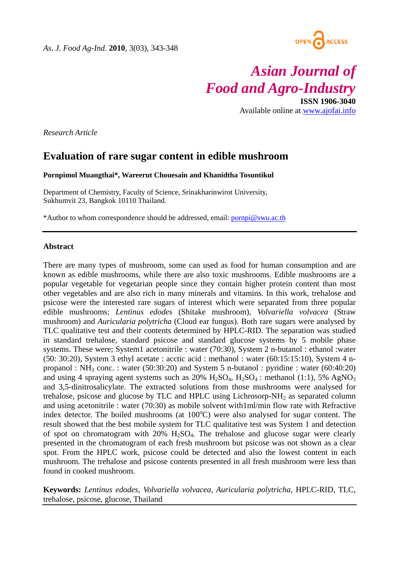

# *Asian Journal of Food and Agro-Industry*

**ISSN 1906-3040**  Available online at www.ajofai.info

*Research Article* 

# **Evaluation of rare sugar content in edible mushroom**

**Pornpimol Muangthai\*, Wareerut Chouesain and Khanidtha Tosuntikul** 

Department of Chemistry, Faculty of Science, Srinakharinwirot University, Sukhumvit 23, Bangkok 10110 Thailand.

\*Author to whom correspondence should be addressed, email: pornpi@swu.ac.th

#### **Abstract**

There are many types of mushroom, some can used as food for human consumption and are known as edible mushrooms, while there are also toxic mushrooms. Edible mushrooms are a popular vegetable for vegetarian people since they contain higher protein content than most other vegetables and are also rich in many minerals and vitamins. In this work, trehalose and psicose were the interested rare sugars of interest which were separated from three popular edible mushrooms; *Lentinus edodes* (Shitake mushroom), *Volvariella volvacea* (Straw mushroom) and *Auricularia polytricha* (Cloud ear fungus). Both rare sugars were analysed by TLC qualitative test and their contents determined by HPLC-RID. The separation was studied in standard trehalose, standard psicose and standard glucose systems by 5 mobile phase systems. These were; System1 acetonitrile : water (70:30), System 2 n-butanol : ethanol : water (50: 30:20), System 3 ethyl acetate : acctic acid : methanol : water (60:15:15:10), System 4 npropanol : NH<sub>3</sub> conc. : water  $(50:30:20)$  and System 5 n-butanol : pyridine : water  $(60:40:20)$ and using 4 spraying agent systems such as  $20\%$  H<sub>2</sub>SO<sub>4</sub>, H<sub>2</sub>SO<sub>4</sub>: methanol (1:1), 5% AgNO<sub>3</sub> and 3,5-dinitrosalicylate. The extracted solutions from those mushrooms were analysed for trehalose, psicose and glucose by TLC and HPLC using Lichrosorp- $NH<sub>2</sub>$  as separated column and using acetonitrile : water (70:30) as mobile solvent with1ml/min flow rate with Refractive index detector. The boiled mushrooms (at 100°C) were also analysed for sugar content. The result showed that the best mobile system for TLC qualitative test was System 1 and detection of spot on chromatogram with  $20\%$  H<sub>2</sub>SO<sub>4</sub>. The trehalose and glucose sugar were clearly presented in the chromatogram of each fresh mushroom but psicose was not shown as a clear spot. From the HPLC work, psicose could be detected and also the lowest content in each mushroom. The trehalose and psicose contents presented in all fresh mushroom were less than found in cooked mushroom.

**Keywords:** *Lentinus edodes*, *Volvariella volvacea, Auricularia polytricha*, HPLC-RID, TLC, trehalose, psicose, glucose, Thailand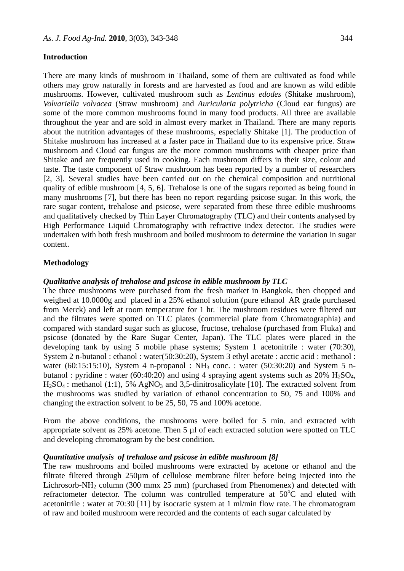#### **Introduction**

There are many kinds of mushroom in Thailand, some of them are cultivated as food while others may grow naturally in forests and are harvested as food and are known as wild edible mushrooms. However, cultivated mushroom such as *Lentinus edodes* (Shitake mushroom), *Volvariella volvacea* (Straw mushroom) and *Auricularia polytricha* (Cloud ear fungus) are some of the more common mushrooms found in many food products. All three are available throughout the year and are sold in almost every market in Thailand. There are many reports about the nutrition advantages of these mushrooms, especially Shitake [1]. The production of Shitake mushroom has increased at a faster pace in Thailand due to its expensive price. Straw mushroom and Cloud ear fungus are the more common mushrooms with cheaper price than Shitake and are frequently used in cooking. Each mushroom differs in their size, colour and taste. The taste component of Straw mushroom has been reported by a number of researchers [2, 3]. Several studies have been carried out on the chemical composition and nutritional quality of edible mushroom [4, 5, 6]. Trehalose is one of the sugars reported as being found in many mushrooms [7], but there has been no report regarding psicose sugar. In this work, the rare sugar content, trehalose and psicose, were separated from these three edible mushrooms and qualitatively checked by Thin Layer Chromatography (TLC) and their contents analysed by High Performance Liquid Chromatography with refractive index detector. The studies were undertaken with both fresh mushroom and boiled mushroom to determine the variation in sugar content.

#### **Methodology**

#### *Qualitative analysis of trehalose and psicose in edible mushroom by TLC*

The three mushrooms were purchased from the fresh market in Bangkok, then chopped and weighed at 10.0000g and placed in a 25% ethanol solution (pure ethanol AR grade purchased from Merck) and left at room temperature for 1 hr. The mushroom residues were filtered out and the filtrates were spotted on TLC plates (commercial plate from Chromatographia) and compared with standard sugar such as glucose, fructose, trehalose (purchased from Fluka) and psicose (donated by the Rare Sugar Center, Japan). The TLC plates were placed in the developing tank by using 5 mobile phase systems; System 1 acetonitrile : water (70:30), System 2 n-butanol : ethanol : water(50:30:20), System 3 ethyl acetate : acctic acid : methanol : water (60:15:15:10), System 4 n-propanol :  $NH<sub>3</sub>$  conc. : water (50:30:20) and System 5 nbutanol : pyridine : water (60:40:20) and using 4 spraying agent systems such as  $20\%$  H<sub>2</sub>SO<sub>4</sub>,  $H<sub>2</sub>SO<sub>4</sub>$ : methanol (1:1), 5% AgNO<sub>3</sub> and 3,5-dinitrosalicylate [10]. The extracted solvent from the mushrooms was studied by variation of ethanol concentration to 50, 75 and 100% and changing the extraction solvent to be 25, 50, 75 and 100% acetone.

From the above conditions, the mushrooms were boiled for 5 min. and extracted with appropriate solvent as 25% acetone. Then 5 µl of each extracted solution were spotted on TLC and developing chromatogram by the best condition.

#### *Quantitative analysis of trehalose and psicose in edible mushroom [8]*

The raw mushrooms and boiled mushrooms were extracted by acetone or ethanol and the filtrate filtered through 250µm of cellulose membrane filter before being injected into the Lichrosorb-NH<sub>2</sub> column (300 mmx 25 mm) (purchased from Phenomenex) and detected with refractometer detector. The column was controlled temperature at  $50^{\circ}$ C and eluted with acetonitrile : water at 70:30 [11] by isocratic system at 1 ml/min flow rate. The chromatogram of raw and boiled mushroom were recorded and the contents of each sugar calculated by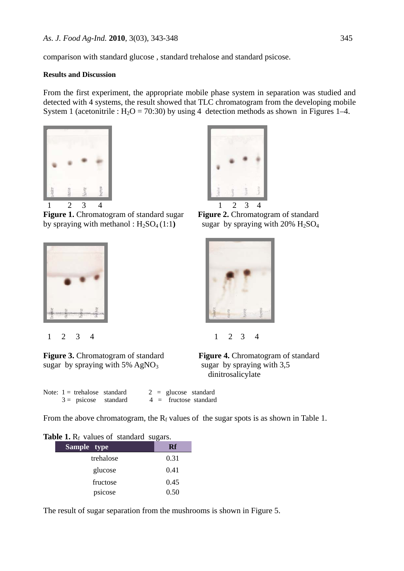comparison with standard glucose , standard trehalose and standard psicose.

#### **Results and Discussion**

From the first experiment, the appropriate mobile phase system in separation was studied and detected with 4 systems, the result showed that TLC chromatogram from the developing mobile System 1 (acetonitrile :  $H_2O = 70:30$ ) by using 4 detection methods as shown in Figures 1–4.



**Figure 1.** Chromatogram of standard sugar **Figure 2.** Chromatogram of standard by spraying with methanol :  $H_2SO_4(1:1)$  sugar by spraying with 20%  $H_2SO_4$ 





**Figure 3.** Chromatogram of standard **Figure 4.** Chromatogram of standard sugar by spraying with  $5\%$  AgNO<sub>3</sub> sugar by spraying with  $3,5$ 







dinitrosalicylate

|  | Note: $1 =$ trehalose standard |  |  | $2 =$ glucose standard  |
|--|--------------------------------|--|--|-------------------------|
|  | $3 =$ psicose standard         |  |  | $4 =$ fructose standard |

From the above chromatogram, the  $R_f$  values of the sugar spots is as shown in Table 1.

### **Table 1.**  $R_f$  values of standard sugars.

| Sample type | Rf   |
|-------------|------|
| trehalose   | 0.31 |
| glucose     | 0.41 |
| fructose    | 0.45 |
| psicose     | 0.50 |

The result of sugar separation from the mushrooms is shown in Figure 5.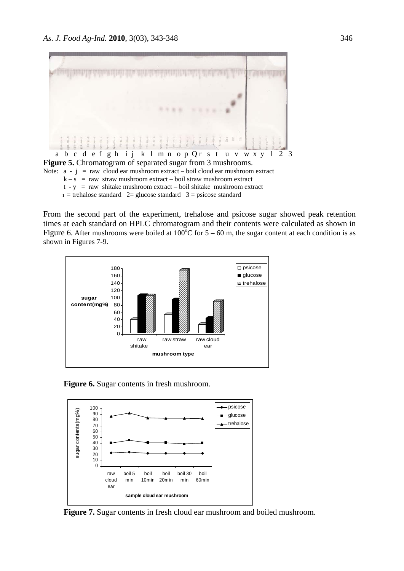

Figure 5. Chromatogram of separated sugar from 3 mushrooms. Note:  $a - j = raw$  cloud ear mushroom extract – boil cloud ear mushroom extract  $k - s$  = raw straw mushroom extract – boil straw mushroom extract  $t - y$  = raw shitake mushroom extract – boil shitake mushroom extract  $1 =$  trehalose standard  $2 =$  glucose standard  $3 =$  psicose standard

From the second part of the experiment, trehalose and psicose sugar showed peak retention times at each standard on HPLC chromatogram and their contents were calculated as shown in Figure 6. After mushrooms were boiled at  $100^{\circ}$ C for  $5 - 60$  m, the sugar content at each condition is as shown in Figures 7-9.



**Figure 6.** Sugar contents in fresh mushroom.



**Figure 7.** Sugar contents in fresh cloud ear mushroom and boiled mushroom.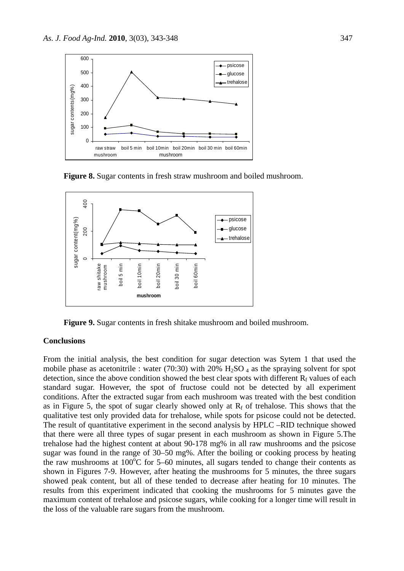

**Figure 8.** Sugar contents in fresh straw mushroom and boiled mushroom.



**Figure 9.** Sugar contents in fresh shitake mushroom and boiled mushroom.

# **Conclusions**

From the initial analysis, the best condition for sugar detection was Sytem 1 that used the mobile phase as acetonitrile : water (70:30) with 20%  $H_2SO_4$  as the spraying solvent for spot detection, since the above condition showed the best clear spots with different  $R_f$  values of each standard sugar. However, the spot of fructose could not be detected by all experiment conditions. After the extracted sugar from each mushroom was treated with the best condition as in Figure 5, the spot of sugar clearly showed only at  $R_f$  of trehalose. This shows that the qualitative test only provided data for trehalose, while spots for psicose could not be detected. The result of quantitative experiment in the second analysis by HPLC –RID technique showed that there were all three types of sugar present in each mushroom as shown in Figure 5.The trehalose had the highest content at about 90-178 mg% in all raw mushrooms and the psicose sugar was found in the range of 30–50 mg%. After the boiling or cooking process by heating the raw mushrooms at  $100^{\circ}$ C for 5–60 minutes, all sugars tended to change their contents as shown in Figures 7-9. However, after heating the mushrooms for 5 minutes, the three sugars showed peak content, but all of these tended to decrease after heating for 10 minutes. The results from this experiment indicated that cooking the mushrooms for 5 minutes gave the maximum content of trehalose and psicose sugars, while cooking for a longer time will result in the loss of the valuable rare sugars from the mushroom.